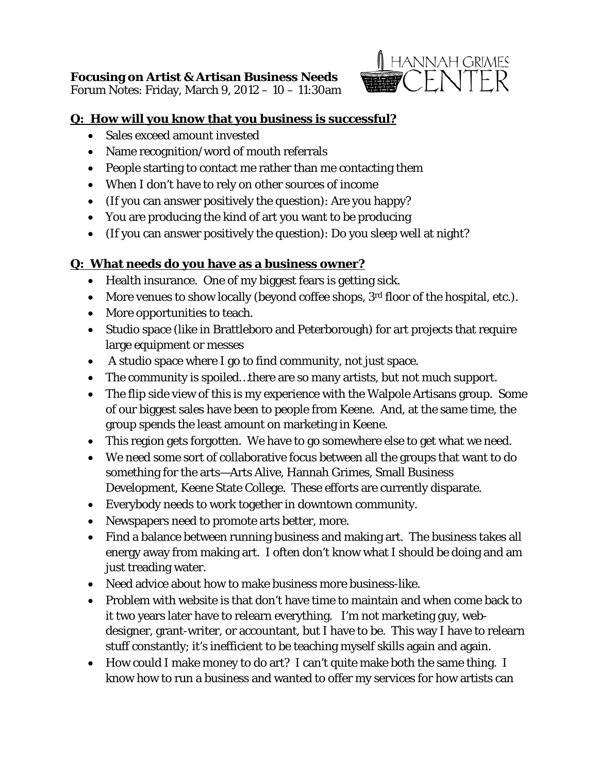# **Focusing on Artist & Artisan Business Needs**

Forum Notes: Friday, March 9, 2012 – 10 – 11:30am



#### **Q: How will you know that you business is successful?**

- Sales exceed amount invested
- Name recognition/word of mouth referrals
- People starting to contact me rather than me contacting them
- When I don't have to rely on other sources of income
- (If you can answer positively the question): Are you happy?
- You are producing the kind of art you want to be producing
- (If you can answer positively the question): Do you sleep well at night?

## **Q: What needs do you have as a business owner?**

- Health insurance. One of my biggest fears is getting sick.
- More venues to show locally (beyond coffee shops, 3<sup>rd</sup> floor of the hospital, etc.).
- More opportunities to teach.
- Studio space (like in Brattleboro and Peterborough) for art projects that require large equipment or messes
- A studio space where I go to find community, not just space.
- The community is spoiled...there are so many artists, but not much support.
- The flip side view of this is my experience with the Walpole Artisans group. Some of our biggest sales have been to people from Keene. And, at the same time, the group spends the least amount on marketing in Keene.
- This region gets forgotten. We have to go somewhere else to get what we need.
- We need some sort of collaborative focus between all the groups that want to do something for the arts—Arts Alive, Hannah Grimes, Small Business Development, Keene State College. These efforts are currently disparate.
- Everybody needs to work together in downtown community.
- Newspapers need to promote arts better, more.
- Find a balance between running business and making art. The business takes all energy away from making art. I often don't know what I should be doing and am just treading water.
- Need advice about how to make business more business-like.
- Problem with website is that don't have time to maintain and when come back to it two years later have to relearn everything. I'm not marketing guy, webdesigner, grant-writer, or accountant, but I have to be. This way I have to relearn stuff constantly; it's inefficient to be teaching myself skills again and again.
- How could I make money to do art? I can't quite make both the same thing. I know how to run a business and wanted to offer my services for how artists can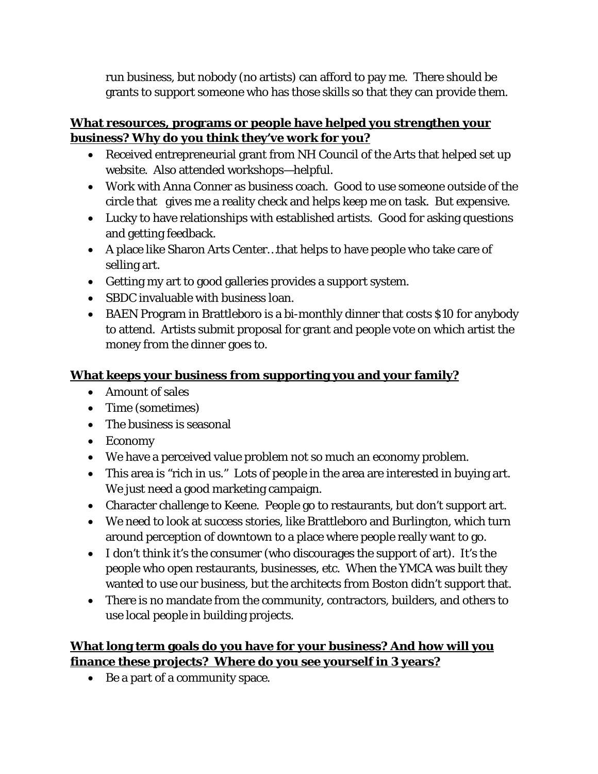run business, but nobody (no artists) can afford to pay me. There should be grants to support someone who has those skills so that they can provide them.

## **What resources, programs or people have helped you strengthen your business? Why do you think they've work for you?**

- Received entrepreneurial grant from NH Council of the Arts that helped set up website. Also attended workshops—helpful.
- Work with Anna Conner as business coach. Good to use someone outside of the circle that gives me a reality check and helps keep me on task. But expensive.
- Lucky to have relationships with established artists. Good for asking questions and getting feedback.
- A place like Sharon Arts Center…that helps to have people who take care of selling art.
- Getting my art to good galleries provides a support system.
- SBDC invaluable with business loan.
- BAEN Program in Brattleboro is a bi-monthly dinner that costs \$10 for anybody to attend. Artists submit proposal for grant and people vote on which artist the money from the dinner goes to.

## **What keeps your business from supporting you and your family?**

- Amount of sales
- Time (sometimes)
- The business is seasonal
- Economy
- We have a perceived value problem not so much an economy problem.
- This area is "rich in us." Lots of people in the area are interested in buying art. We just need a good marketing campaign.
- Character challenge to Keene. People go to restaurants, but don't support art.
- We need to look at success stories, like Brattleboro and Burlington, which turn around perception of downtown to a place where people really want to go.
- I don't think it's the consumer (who discourages the support of art). It's the people who open restaurants, businesses, etc. When the YMCA was built they wanted to use our business, but the architects from Boston didn't support that.
- There is no mandate from the community, contractors, builders, and others to use local people in building projects.

## **What long term goals do you have for your business? And how will you finance these projects? Where do you see yourself in 3 years?**

• Be a part of a community space.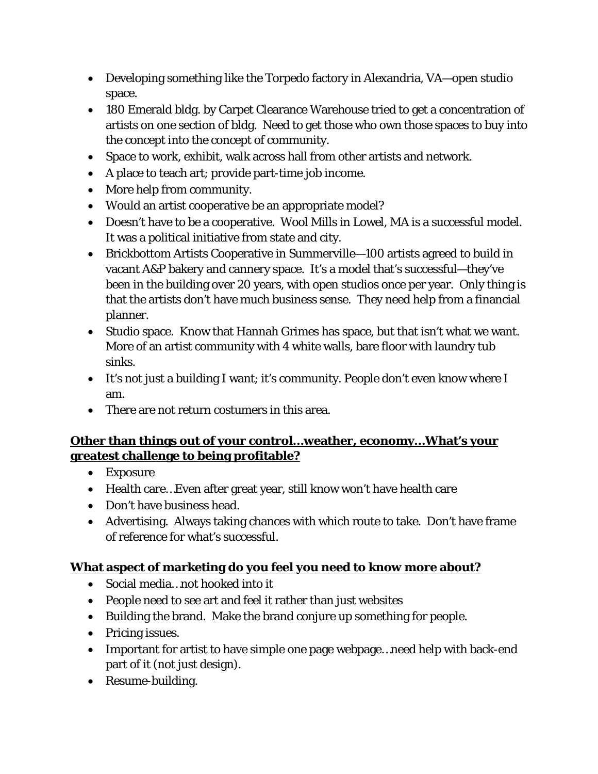- Developing something like the Torpedo factory in Alexandria, VA—open studio space.
- 180 Emerald bldg. by Carpet Clearance Warehouse tried to get a concentration of artists on one section of bldg. Need to get those who own those spaces to buy into the concept into the concept of community.
- Space to work, exhibit, walk across hall from other artists and network.
- A place to teach art; provide part-time job income.
- More help from community.
- Would an artist cooperative be an appropriate model?
- Doesn't have to be a cooperative. Wool Mills in Lowel, MA is a successful model. It was a political initiative from state and city.
- Brickbottom Artists Cooperative in Summerville—100 artists agreed to build in vacant A&P bakery and cannery space. It's a model that's successful—they've been in the building over 20 years, with open studios once per year. Only thing is that the artists don't have much business sense. They need help from a financial planner.
- Studio space. Know that Hannah Grimes has space, but that isn't what we want. More of an artist community with 4 white walls, bare floor with laundry tub sinks.
- It's not just a building I want; it's community. People don't even know where I am.
- There are not return costumers in this area.

## **Other than things out of your control…weather, economy…What's your greatest challenge to being profitable?**

- Exposure
- Health care... Even after great year, still know won't have health care
- Don't have business head.
- Advertising. Always taking chances with which route to take. Don't have frame of reference for what's successful.

#### **What aspect of marketing do you feel you need to know more about?**

- Social media…not hooked into it
- People need to see art and feel it rather than just websites
- Building the brand. Make the brand conjure up something for people.
- Pricing issues.
- Important for artist to have simple one page webpage...need help with back-end part of it (not just design).
- Resume-building.